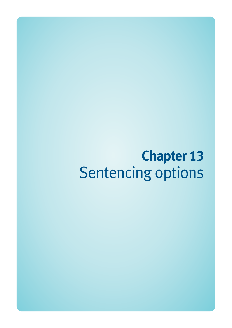# **Chapter 13**  Sentencing options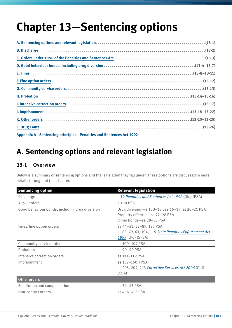# **Chapter 13—Sentencing options**

| Appendix A-Sentencing principles-Penalties and Sentences Act 1992 |  |
|-------------------------------------------------------------------|--|

# **A. Sentencing options and relevant legislation**

# **13-1 Overview**

Below is a summary of sentencing options and the legislation they fall under. These options are discussed in more details throughout this chapter.

| <b>Sentencing option</b>                       | <b>Relevant legislation</b>                                                                                    |
|------------------------------------------------|----------------------------------------------------------------------------------------------------------------|
| Discharge                                      | s 19 Penalties and Sentences Act 1992 (Qld) (PSA)                                                              |
| s 190 orders                                   | s 190 PSA                                                                                                      |
| Good behaviour bonds, including drug diversion | Drug diversion-s 15B-15F, ss 16-19, ss 20-21 PSA<br>Property offences-ss 22-28 PSA<br>Other bonds-ss 29-33 PSA |
| Fines/fine option orders                       | ss 44-51, 52-89, 185 PSA<br>ss 65, 79, 63, 104, 119 State Penalties Enforcement Act<br>1999 (Qld) (SPEA)       |
| Community service orders                       | ss 100-109 PSA                                                                                                 |
| Probation                                      | ss 90-99 PSA                                                                                                   |
| Intensive correction orders                    | ss 111-119 PSA                                                                                                 |
| Imprisonment                                   | ss 152-160H PSA<br>ss 205, 209, 213 Corrective Services Act 2006 (Qld)<br>(CSA)                                |
| Other orders                                   |                                                                                                                |
| Restitution and compensation                   | ss 34-43 PSA                                                                                                   |
| Non-contact orders                             | ss 43A-43F PSA                                                                                                 |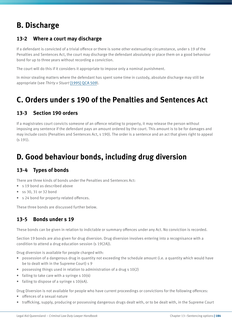# **B. Discharge**

# **13-2 Where a court may discharge**

If a defendant is convicted of a trivial offence or there is some other extenuating circumstance, under s 19 of the Penalties and Sentences Act, the court may discharge the defendant absolutely or place them on a good behaviour bond for up to three years without recording a conviction.

The court will do this if it considers it appropriate to impose only a nominal punishment.

In minor stealing matters where the defendant has spent some time in custody, absolute discharge may still be appropriate (see *Thirty v Stuart* [\[1995\] QCA 509](http://archive.sclqld.org.au/qjudgment/1995/QCA95-509.pdf)).

# **C. Orders under s 190 of the Penalties and Sentences Act**

# **13-3 Section 190 orders**

If a magistrates court convicts someone of an offence relating to property, it may release the person without imposing any sentence if the defendant pays an amount ordered by the court. This amount is to be for damages and may include costs (Penalties and Sentences Act, s 190). The order is a sentence and an act that gives right to appeal (s 191).

# **D. Good behaviour bonds, including drug diversion**

# **13-4 Types of bonds**

There are three kinds of bonds under the Penalties and Sentences Act:

- s 19 bond as described above
- ss 30, 31 or 32 bond
- s 24 bond for property-related offences.

These three bonds are discussed further below.

# **13-5 Bonds under s 19**

These bonds can be given in relation to indictable or summary offences under any Act. No conviction is recorded.

Section 19 bonds are also given for drug diversion. Drug diversion involves entering into a recognisance with a condition to attend a drug education session (s 19(2A)).

Drug diversion is available for people charged with:

- possession of a dangerous drug in quantity not exceeding the schedule amount (i.e. a quantity which would have be to dealt with in the Supreme Court) s 9
- possessing things used in relation to administration of a drug s 10(2)
- failing to take care with a syringe  $s$  10(4)
- failing to dispose of a syringe s 10(4A).

Drug Diversion is not available for people who have current proceedings or convictions for the following offences:

- offences of a sexual nature
- trafficking, supply, producing or possessing dangerous drugs dealt with, or to be dealt with, in the Supreme Court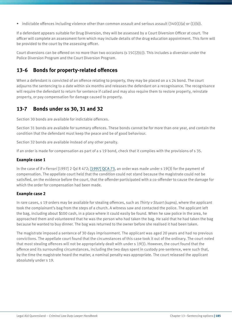• indictable offences including violence other than common assault and serious assault  $(340(1)(a))$  or  $(1)(b)$ ).

If a defendant appears suitable for Drug Diversion, they will be assessed by a Court Diversion Officer at court. The officer will complete an assessment form which may include details of the drug education appointment. This form will be provided to the court by the assessing officer.

Court diversions can be offered on no more than two occasions (s  $15C(2)(c)$ ). This includes a diversion under the Police Diversion Program and the Court Diversion Program.

### **13-6 Bonds for property-related offences**

When a defendant is convicted of an offence relating to property, they may be placed on a s 24 bond. The court adjourns the sentencing to a date within six months and releases the defendant on a recognisance. The recognisance will require the defendant to return for sentence if called and may also require them to restore property, reinstate property, or pay compensation for damage caused to property.

### **13-7 Bonds under ss 30, 31 and 32**

Section 30 bonds are available for indictable offences.

Section 31 bonds are available for summary offences. These bonds cannot be for more than one year, and contain the condition that the defendant must keep the peace and be of good behaviour.

Section 32 bonds are available instead of any other penalty.

If an order is made for compensation as part of a s 19 bond, check that it complies with the provisions of s 35.

#### **Example case 1**

In the case of *R v Ferrari* [1997] 2 Qd R 472; [\[1997\] QCA 73](http://archive.sclqld.org.au/qjudgment/1997/QCA97-073.pdf), an order was made under s 19(3) for the payment of compensation. The appellate court held that the condition could not stand because the magistrate could not be satisfied, on the evidence before the court, that the offender participated with a co-offender to cause the damage for which the order for compensation had been made.

#### **Example case 2**

In rare cases, s 19 orders may be available for stealing offences, such as *Thirty v Stuart (supra)*, where the applicant took the complainant's bag from the steps of a church. A witness saw and contacted the police. The applicant left the bag, including about \$100 cash, in a place where it could easily be found. When he saw police in the area, he approached them and volunteered that he was the person who had taken the bag. He said that he had taken the bag because he wanted to buy dinner. The bag was returned to the owner before she realised it had been taken.

The magistrate imposed a sentence of 30 days imprisonment. The applicant was aged 20 years and had no previous convictions. The appellate court found that the circumstances of this case took it out of the ordinary. The court noted that most stealing offences will not be appropriately dealt with under s 19(1). However, the court found that the offence and its surrounding circumstances, including the two days spent in custody pre-sentence, were such that, by the time the magistrate heard the matter, a nominal penalty was appropriate. The court released the applicant absolutely under s 19.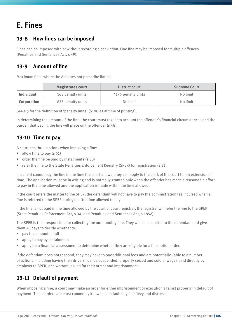# **E. Fines**

# **13-8 How fines can be imposed**

Fines can be imposed with or without recording a conviction. One fine may be imposed for multiple offences (Penalties and Sentences Act, s 49).

# **13-9 Amount of fine**

Maximum fines where the Act does not prescribe limits:

|             | <b>Magistrates court</b> | <b>District court</b> | <b>Supreme Court</b> |
|-------------|--------------------------|-----------------------|----------------------|
| Individual  | 165 penalty units        | 4175 penalty units    | No limit             |
| Corporation | 835 penalty units        | No limit              | No limit             |

See s 5 for the definition of 'penalty units' (\$100 as at time of printing).

In determining the amount of the fine, the court must take into account the offender's financial circumstances and the burden that paying the fine will place on the offender (s 48).

# **13-10 Time to pay**

A court has three options when imposing a fine:

- allow time to pay (s 51)
- order the fine be paid by instalments (s 50)
- refer the fine to the State Penalties Enforcement Registry (SPER) for registration (s 51).

If a client cannot pay the fine in the time the court allows, they can apply to the clerk of the court for an extension of time. The application must be in writing and is normally granted only when the offender has made a reasonable effort to pay in the time allowed and the application is made within the time allowed.

If the court refers the matter to the SPER, the defendant will not have to pay the administration fee incurred when a fine is referred to the SPER during or after time allowed to pay.

If the fine is not paid in the time allowed by the court or court registrar, the registrar will refer the fine to the SPER (State Penalties Enforcement Act, s 34, and Penalties and Sentences Act, s 185A).

The SPER is then responsible for collecting the outstanding fine. They will send a letter to the defendant and give them 28 days to decide whether to:

- pay the amount in full
- apply to pay by instalments
- apply for a financial assessment to determine whether they are eligible for a fine option order.

If the defendant does not respond, they may have to pay additional fees and are potentially liable to a number of actions, including having their drivers licence suspended, property seized and sold or wages paid directly by employer to SPER, or a warrant issued for their arrest and imprisonment.

# **13-11 Default of payment**

When imposing a fine, a court may make an order for either imprisonment or execution against property in default of payment. These orders are most commonly known as 'default days' or 'levy and distress'.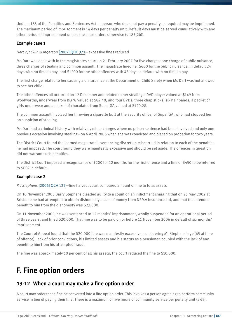Under s 185 of the Penalties and Sentences Act, a person who does not pay a penalty as required may be imprisoned. The maximum period of imprisonment is 14 days per penalty unit. Default days must be served cumulatively with any other period of imprisonment unless the court orders otherwise (s 185(2b)).

### **Example case 1**

*Dart v Jacklin & Ingerson* [\[2007\] QDC 371—](http://archive.sclqld.org.au/qjudgment/2007/QDC07-371.pdf)excessive fines reduced

Ms Dart was dealt with in the magistrates court on 21 February 2007 for five charges: one charge of public nuisance, three charges of stealing and common assault. The magistrate fined her \$600 for the public nuisance, in default 24 days with no time to pay, and \$1200 for the other offences with 48 days in default with no time to pay.

The first charge related to her causing a disturbance at the Department of Child Safety when Ms Dart was not allowed to see her child.

The other offences all occurred on 12 December and related to her stealing a DVD player valued at \$149 from Woolworths, underwear from Big W valued at \$89.40, and four DVDs, three chap sticks, six hair bands, a packet of girls underwear and a packet of chocolates from Supa IGA valued at \$120.28.

The common assault involved her throwing a cigarette butt at the security officer of Supa IGA, who had stopped her on suspicion of stealing.

Ms Dart had a criminal history with relatively minor charges where no prison sentence had been involved and only one previous occasion involving stealing—on 6 April 2006 when she was convicted and placed on probation for two years.

The District Court found the learned magistrate's sentencing discretion miscarried in relation to each of the penalties he had imposed. The court found they were manifestly excessive and should be set aside. The offences in question did not warrant such penalties.

The District Court imposed a recognisance of \$200 for 12 months for the first offence and a fine of \$450 to be referred to SPER in default.

### **Example case 2**

*R v Stephens* [\[2006\] QCA 123](http://archive.sclqld.org.au/qjudgment/2006/QCA06-123.pdf)—fine halved, court compared amount of fine to total assets

On 10 November 2005 Barry Stephens pleaded guilty to a count on an indictment charging that on 25 May 2002 at Brisbane he had attempted to obtain dishonestly a sum of money from NRMA Insurance Ltd, and that the intended benefit to him from the dishonesty was \$23,000.

On 11 November 2005, he was sentenced to 12 months' imprisonment, wholly suspended for an operational period of three years, and fined \$20,000. That fine was to be paid on or before 11 November 2006 in default of six months' imprisonment.

The Court of Appeal found that the \$20,000 fine was manifestly excessive, considering Mr Stephens' age (65 at time of offence), lack of prior convictions, his limited assets and his status as a pensioner, coupled with the lack of any benefit to him from his attempted fraud.

The fine was approximately 10 per cent of all his assets; the court reduced the fine to \$10,000.

# **F. Fine option orders**

### **13-12 When a court may make a fine option order**

A court may order that a fine be converted into a fine option order. This involves a person agreeing to perform community service in lieu of paying their fine. There is a maximum of five hours of community service per penalty unit (s 69).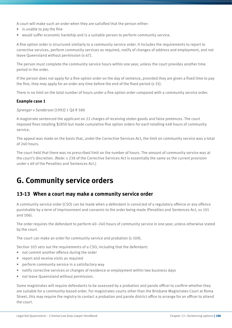A court will make such an order when they are satisfied that the person either:

- is unable to pay the fine
- would suffer economic hardship and is a suitable person to perform community service.

A fine option order is structured similarly to a community service order. It includes the requirements to report to corrective services, perform community services as required, notify of changes of address and employment, and not leave Queensland without permission (s 67).

The person must complete the community service hours within one year, unless the court provides another time period in the order.

If the person does not apply for a fine option order on the day of sentence, provided they are given a fixed time to pay the fine, they may apply for an order any time before the end of the fixed period (s 55).

There is no limit on the total number of hours under a fine option order compared with a community service order.

#### **Example case 1**

*Sprenger v Sanderson* [1992] 1 Qd R 580

A magistrate sentenced the applicant on 22 charges of receiving stolen goods and false pretences. The court imposed fines totalling \$2850 but made cumulative fine option orders for each totalling 448 hours of community service.

The appeal was made on the basis that, under the Corrective Services Act, the limit on community service was a total of 240 hours.

The court held that there was no prescribed limit on the number of hours. The amount of community service was at the court's discretion. (Note: s 238 of the Corrective Services Act is essentially the same as the current provision under s 69 of the Penalties and Sentences Act.)

# **G. Community service orders**

### **13-13 When a court may make a community service order**

A community service order (CSO) can be made when a defendant is convicted of a regulatory offence or any offence punishable by a term of imprisonment and consents to the order being made (Penalties and Sentences Act, ss 101 and 106).

The order requires the defendant to perform 40–240 hours of community service in one year, unless otherwise stated by the court.

The court can make an order for community service and probation (s 109).

Section 103 sets out the requirements of a CSO, including that the defendant:

- not commit another offence during the order
- report and receive visits as required
- perform community service in a satisfactory way
- notify corrective services or changes of residence or employment within two business days
- not leave Queensland without permission.

Some magistrates will require defendants to be assessed by a probation and parole officer to confirm whether they are suitable for a community-based order. For magistrates courts other than the Brisbane Magistrates Court at Roma Street, this may require the registry to contact a probation and parole district office to arrange for an officer to attend the court.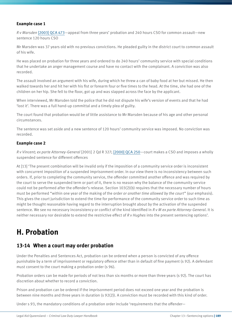#### **Example case 1**

*R v Marsden* [\[2003\] QCA 473](http://archive.sclqld.org.au/qjudgment/2003/QCA03-473.pdf)—appeal from three years' probation and 240 hours CSO for common assault—new sentence 120 hours CSO

Mr Marsden was 37 years old with no previous convictions. He pleaded guilty in the district court to common assault of his wife.

He was placed on probation for three years and ordered to do 240 hours' community service with special conditions that he undertake an anger management course and have no contact with the complainant. A conviction was also recorded.

The assault involved an argument with his wife, during which he threw a can of baby food at her but missed. He then walked towards her and hit her with his fist or forearm four or five times to the head. At the time, she had one of the children on her hip. She fell to the floor, got up and was slapped across the face by the applicant.

When interviewed, Mr Marsden told the police that he did not dispute his wife's version of events and that he had 'lost it'. There was a full hand-up committal and a timely plea of guilty.

The court found that probation would be of little assistance to Mr Marsden because of his age and other personal circumstances.

The sentence was set aside and a new sentence of 120 hours' community service was imposed. No conviction was recorded.

#### **Example case 2**

*R v Vincent; ex parte Attorney-General* [2001] 2 Qd R 327; [\[2000\] QCA 250](http://archive.sclqld.org.au/qjudgment/2000/QCA00-250.pdf)—court makes a CSO and imposes a wholly suspended sentence for different offences

At [13] 'The present combination will be invalid only if the imposition of a community service order is inconsistent with concurrent imposition of a suspended imprisonment order. In our view there is no inconsistency between such orders. If, prior to completing the community service, the offender committed another offence and was required by the court to serve the suspended term or part of it, there is no reason why the balance of the community service could not be performed after the offender's release. Section 103(2)(b) requires that the necessary number of hours must be performed "within one year of the making of the order *or another time allowed by the court*" (our emphasis). This gives the court jurisdiction to extend the time for performance of the community service order to such time as might be thought reasonable having regard to the interruption brought about by the activation of the suspended sentence. We see no necessary inconsistency or conflict of the kind identified in *R v M ex parte Attorney-General*. It is neither necessary nor desirable to extend the restrictive effect of *R v Hughes* into the present sentencing options'.

# **H. Probation**

### **13-14 When a court may order probation**

Under the Penalties and Sentences Act, probation can be ordered when a person is convicted of any offence punishable by a term of imprisonment or regulatory offence other than in default of fine payment (s 92). A defendant must consent to the court making a probation order (s 96).

Probation orders can be made for periods of not less than six months or more than three years (s 92). The court has discretion about whether to record a conviction.

Prison and probation can be ordered if the imprisonment period does not exceed one year and the probation is between nine months and three years in duration (s 92(2)). A conviction must be recorded with this kind of order.

Under s 93, the mandatory conditions of a probation order include 'requirements that the offender—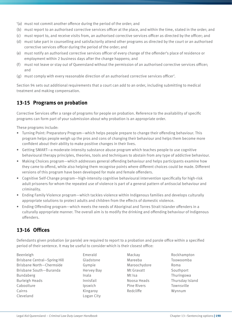- '(a) must not commit another offence during the period of the order; and
- (b) must report to an authorised corrective services officer at the place, and within the time, stated in the order; and
- (c) must report to, and receive visits from, an authorised corrective services officer as directed by the officer; and
- (d) must take part in counselling and satisfactorily attend other programs as directed by the court or an authorised corrective services officer during the period of the order; and
- (e) must notify an authorised corrective services officer of every change of the offender's place of residence or employment within 2 business days after the change happens; and
- (f) must not leave or stay out of Queensland without the permission of an authorised corrective services officer; and
- (g) must comply with every reasonable direction of an authorised corrective services officer'.

Section 94 sets out additional requirements that a court can add to an order, including submitting to medical treatment and making compensation.

# **13-15 Programs on probation**

Corrective Services offer a range of programs for people on probation. Reference to the availability of specific programs can form part of your submission about why probation is an appropriate order.

These programs include:

- Turning Point: Preparatory Program—which helps people prepare to change their offending behaviour. This program helps people weigh up the pros and cons of changing their behaviour and helps them become more confident about their ability to make positive changes in their lives.
- Getting SMART—a moderate-intensity substance abuse program which teaches people to use cognitive behavioural therapy principles, theories, tools and techniques to abstain from any type of addictive behaviour.
- Making Choices program—which addresses general offending behaviour and helps participants examine how they came to offend, while also helping them recognise points where different choices could be made. Different versions of this program have been developed for male and female offenders.
- Cognitive Self-Change program—high-intensity cognitive behavioural intervention specifically for high-risk adult prisoners for whom the repeated use of violence is part of a general pattern of antisocial behaviour and criminality.
- Ending Family Violence program—which tackles violence within Indigenous families and develops culturally appropriate solutions to protect adults and children from the effects of domestic violence.
- Ending Offending program—which meets the needs of Aboriginal and Torres Strait Islander offenders in a culturally appropriate manner. The overall aim is to modify the drinking and offending behaviour of Indigenous offenders.

# **13-16 Offices**

Defendants given probation (or parole) are required to report to a probation and parole office within a specified period of their sentence. It may be useful to consider which is their closest office:

Beenleigh Emerald Mackay Rockhampton Brisbane Central—Spring Hill Gladstone Mareeba Toowoomba Brisbane North—Chermside Gympie Maroochydore Roma Brisbane South-Buranda Hervey Bay Mt Gravatt Southport Bundaberg Inala Mt Isa Thuringowa Burleigh Heads Innisfail Noosa Heads Thursday Island Caboolture Ipswich Pine Rivers Townsville Cairns Kingaroy Redcliffe Wynnum Cleveland Logan City

- 
-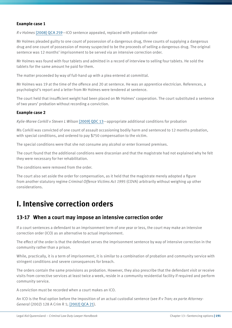#### **Example case 1**

*R v Holmes* [\[2008\] QCA 259—](http://archive.sclqld.org.au/qjudgment/2008/QCA08-259.pdf)ICO sentence appealed, replaced with probation order

Mr Holmes pleaded guilty to one count of possession of a dangerous drug, three counts of supplying a dangerous drug and one count of possession of money suspected to be the proceeds of selling a dangerous drug. The original sentence was 12 months' imprisonment to be served via an intensive correction order.

Mr Holmes was found with four tablets and admitted in a record of interview to selling four tablets. He sold the tablets for the same amount he paid for them.

The matter proceeded by way of full-hand up with a plea entered at committal.

Mr Holmes was 19 at the time of the offence and 20 at sentence. He was an apprentice electrician. References, a psychologist's report and a letter from Mr Holmes were tendered at sentence.

The court held that insufficient weight had been placed on Mr Holmes' cooperation. The court substituted a sentence of two years' probation without recording a conviction.

#### **Example case 2**

*Kylie-Maree Corkill v Steven L Wilson* [\[2009\] QDC 13](http://archive.sclqld.org.au/qjudgment/2009/QDC09-013.pdf)—appropriate additional conditions for probation

Ms Corkill was convicted of one count of assault occasioning bodily harm and sentenced to 12 months probation, with special conditions, and ordered to pay \$750 compensation to the victim.

The special conditions were that she not consume any alcohol or enter licensed premises.

The court found that the additional conditions were draconian and that the magistrate had not explained why he felt they were necessary for her rehabilitation.

The conditions were removed from the order.

The court also set aside the order for compensation, as it held that the magistrate merely adopted a figure from another statutory regime *Criminal Offence Victims Act 1995* (COVA) arbitrarily without weighing up other considerations.

# **I. Intensive correction orders**

### **13-17 When a court may impose an intensive correction order**

If a court sentences a defendant to an imprisonment term of one year or less, the court may make an intensive correction order (ICO) as an alternative to actual imprisonment.

The effect of the order is that the defendant serves the imprisonment sentence by way of intensive correction in the community rather than a prison.

While, practically, it is a term of imprisonment, it is similar to a combination of probation and community service with stringent conditions and severe consequences for breach.

The orders contain the same provisions as probation. However, they also prescribe that the defendant visit or receive visits from corrective services at least twice a week, reside in a community residential facility if required and perform community service.

A conviction must be recorded when a court makes an ICO.

An ICO is the final option before the imposition of an actual custodial sentence (see *R v Tran; ex parte Attorney-General* (2002) 128 A Crim R 1; [\[2002\] QCA 21](http://archive.sclqld.org.au/qjudgment/2002/QCA02-021.pdf)).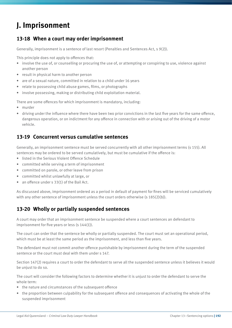# **J. Imprisonment**

### **13-18 When a court may order imprisonment**

Generally, imprisonment is a sentence of last resort (Penalties and Sentences Act, s 9(2)).

This principle does not apply to offences that:

- involve the use of, or counselling or procuring the use of, or attempting or conspiring to use, violence against another person
- result in physical harm to another person
- are of a sexual nature, committed in relation to a child under 16 years
- relate to possessing child abuse games, films, or photographs
- involve possessing, making or distributing child exploitation material.

There are some offences for which imprisonment is mandatory, including:

- murder
- driving under the influence where there have been two prior convictions in the last five years for the same offence, dangerous operation, or on indictment for any offence in connection with or arising out of the driving of a motor vehicle.

### **13-19 Concurrent versus cumulative sentences**

Generally, an imprisonment sentence must be served concurrently with all other imprisonment terms (s 155). All sentences may be ordered to be served cumulatively, but must be cumulative if the offence is:

- listed in the Serious Violent Offence Schedule
- committed while serving a term of imprisonment
- committed on parole, or other leave from prison
- committed whilst unlawfully at large, or
- an offence under s 33(1) of the Bail Act.

As discussed above, imprisonment ordered as a period in default of payment for fines will be serviced cumulatively with any other sentence of imprisonment unless the court orders otherwise (s 185(2)(b)).

### **13-20 Wholly or partially suspended sentences**

A court may order that an imprisonment sentence be suspended where a court sentences an defendant to imprisonment for five years or less (s 144(1)).

The court can order that the sentence be wholly or partially suspended. The court must set an operational period, which must be at least the same period as the imprisonment, and less than five years.

The defendant must not commit another offence punishable by imprisonment during the term of the suspended sentence or the court must deal with them under s 147.

Section 147(2) requires a court to order the defendant to serve all the suspended sentence unless it believes it would be unjust to do so.

The court will consider the following factors to determine whether it is unjust to order the defendant to serve the whole term:

- the nature and circumstances of the subsequent offence
- the proportion between culpability for the subsequent offence and consequences of activating the whole of the suspended imprisonment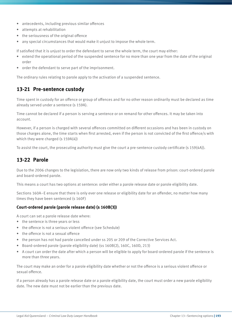- antecedents, including previous similar offences
- attempts at rehabilitation
- the seriousness of the original offence
- any special circumstances that would make it unjust to impose the whole term.

If satisfied that it is unjust to order the defendant to serve the whole term, the court may either:

- extend the operational period of the suspended sentence for no more than one year from the date of the original order
- order the defendant to serve part of the imprisonment.

The ordinary rules relating to parole apply to the activation of a suspended sentence.

### **13-21 Pre-sentence custody**

Time spent in custody for an offence or group of offences and for no other reason ordinarily must be declared as time already served under a sentence (s 159A).

Time cannot be declared if a person is serving a sentence or on remand for other offences. It may be taken into account.

However, if a person is charged with several offences committed on different occasions and has been in custody on those charges alone, the time starts when first arrested, even if the person is not convicted of the first offence/s with which they were charged (s 159A(4))

To assist the court, the prosecuting authority must give the court a pre-sentence custody certificate (s 159(4A)).

# **13-22 Parole**

Due to the 2006 changes to the legislation, there are now only two kinds of release from prison: court-ordered parole and board-ordered parole.

This means a court has two options at sentence: order either a parole release date or parole eligibility date.

Sections 160A–E ensure that there is only ever one release or eligibility date for an offender, no matter how many times they have been sentenced (s 160F)

#### **Court-ordered parole (parole release date) (s 160B(3))**

A court can set a parole release date where:

- the sentence is three years or less
- the offence is not a serious violent offence (see Schedule)
- the offence is not a sexual offence
- the person has not had parole cancelled under ss 205 or 209 of the Corrective Services Act.
- Board-ordered parole (parole eligibility date) (ss 160B(2), 160C, 160D, 213)
- A court can order the date after which a person will be eligible to apply for board-ordered parole if the sentence is more than three years.

The court may make an order for a parole eligibility date whether or not the offence is a serious violent offence or sexual offence.

If a person already has a parole release date or a parole eligibility date, the court must order a new parole eligibility date. The new date must not be earlier than the previous date.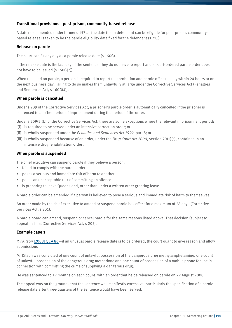#### **Transitional provisions—post-prison, community-based release**

A date recommended under former s 157 as the date that a defendant can be eligible for post-prison, communitybased release is taken to be the parole eligibility date fixed for the defendant (s 213)

#### **Release on parole**

The court can fix any day as a parole release date (s 160G).

If the release date is the last day of the sentence, they do not have to report and a court-ordered parole order does not have to be issued (s 160G(2)).

When released on parole, a person is required to report to a probation and parole office usually within 24 hours or on the next business day. Failing to do so makes them unlawfully at large under the Corrective Services Act (Penalties and Sentences Act, s 160G(4)).

#### **When parole is cancelled**

Under s 209 of the Corrective Services Act, a prisoner's parole order is automatically cancelled if the prisoner is sentenced to another period of imprisonment during the period of the order.

Under s 209(3)(b) of the Corrective Services Act, there are some exceptions where the relevant imprisonment period:

- '(i) is required to be served under an intensive correction order; or
- (ii) is wholly suspended under the *Penalties and Sentences Act 1992*, part 8; or
- (iii) is wholly suspended because of an order, under the *Drug Court Act 2000*, section 20(1)(a), contained in an intensive drug rehabilitation order'.

#### **When parole is suspended**

The chief executive can suspend parole if they believe a person:

- failed to comply with the parole order
- poses a serious and immediate risk of harm to another
- poses an unacceptable risk of committing an offence
- is preparing to leave Queensland, other than under a written order granting leave.

A parole order can be amended if a person is believed to pose a serious and immediate risk of harm to themselves.

An order made by the chief executive to amend or suspend parole has effect for a maximum of 28 days (Corrective Services Act, s 201).

A parole board can amend, suspend or cancel parole for the same reasons listed above. That decision (subject to appeal) is final (Corrective Services Act, s 205).

#### **Example case 1**

*R v Kitson* [\[2008\] QCA 86](http://archive.sclqld.org.au/qjudgment/2008/QCA08-086.pdf)—if an unusual parole release date is to be ordered, the court ought to give reason and allow submissions

Mr Kitson was convicted of one count of unlawful possession of the dangerous drug methylamphetamine, one count of unlawful possession of the dangerous drug methadone and one count of possession of a mobile phone for use in connection with committing the crime of supplying a dangerous drug.

He was sentenced to 12 months on each count, with an order that he be released on parole on 29 August 2008.

The appeal was on the grounds that the sentence was manifestly excessive, particularly the specification of a parole release date after three-quarters of the sentence would have been served.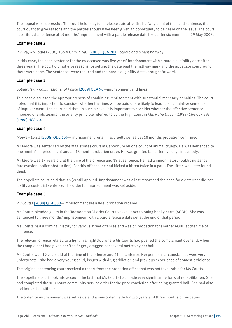The appeal was successful. The court held that, for a release date after the halfway point of the head sentence, the court ought to give reasons and the parties should have been given an opportunity to be heard on the issue. The court substituted a sentence of 15 months' imprisonment with a parole release date fixed after six months on 29 May 2008.

#### **Example case 2**

*R v Leu; R v Togia* (2008) 186 A Crim R 240; [\[2008\] QCA 201](http://archive.sclqld.org.au/qjudgment/2008/QCA08-201.pdf)—parole dates past halfway

In this case, the head sentence for the co-accused was five years' imprisonment with a parole eligibility date after three years. The court did not give reasons for setting the date past the halfway mark and the appellate court found there were none. The sentences were reduced and the parole eligibility dates brought forward.

#### **Example case 3**

#### *Sobieralski v Commissioner of Police* [\[2009\] QCA 90](http://archive.sclqld.org.au/qjudgment/2009/QCA09-090.pdf)—imprisonment and fines

This case discussed the appropriateness of combining imprisonment with substantial monetary penalties. The court noted that it is important to consider whether the fines will be paid or are likely to lead to a cumulative sentence of imprisonment. The court held that, in such a case, it is important to consider whether the effective sentence imposed offends against the totality principle referred to by the High Court in *Mill v The Queen* (1988) 166 CLR 59; [\[1988\] HCA 70](http://www.austlii.edu.au/au/cases/cth/HCA/1988/70.html).

#### **Example case 4**

*Moore v Lewis* [\[2008\] QDC 105](http://archive.sclqld.org.au/qjudgment/2008/QDC08-105.pdf)—imprisonment for animal cruelty set aside; 18 months probation confirmed

Mr Moore was sentenced by the magistrates court at Caboolture on one count of animal cruelty. He was sentenced to one month's imprisonment and an 18 month probation order. He was granted bail after five days in custody.

Mr Moore was 17 years old at the time of the offence and 18 at sentence. He had a minor history (public nuisance, fare evasion, police obstruction). For this offence, he had kicked a kitten twice in a park. The kitten was later found dead.

The appellate court held that s 9(2) still applied. Imprisonment was a last resort and the need for a deterrent did not justify a custodial sentence. The order for imprisonment was set aside.

#### **Example case 5**

*R v Coutts* [\[2008\] QCA 380](http://archive.sclqld.org.au/qjudgment/2008/QCA08-380.pdf)—imprisonment set aside; probation ordered

Ms Coutts pleaded guilty in the Toowoomba District Court to assault occasioning bodily harm (AOBH). She was sentenced to three months' imprisonment with a parole release date set at the end of that period.

Ms Coutts had a criminal history for various street offences and was on probation for another AOBH at the time of sentence.

The relevant offence related to a fight in a nightclub where Ms Coutts had pushed the complainant over and, when the complainant had given her 'the finger', dragged her several metres by her hair.

Ms Coutts was 19 years old at the time of the offence and 21 at sentence. Her personal circumstances were very unfortunate—she had a very young child, issues with drug addiction and previous experience of domestic violence.

The original sentencing court received a report from the probation office that was not favourable for Ms Coutts.

The appellate court took into account the fact that Ms Coutts had made very significant efforts at rehabilitation. She had completed the 100 hours community service order for the prior conviction after being granted bail. She had also met her bail conditions.

The order for imprisonment was set aside and a new order made for two years and three months of probation.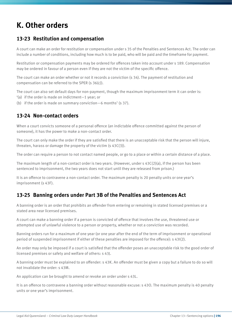# **K. Other orders**

# **13-23 Restitution and compensation**

A court can make an order for restitution or compensation under s 35 of the Penalties and Sentences Act. The order can include a number of conditions, including how much is to be paid, who will be paid and the timeframe for payment.

Restitution or compensation payments may be ordered for offences taken into account under s 189. Compensation may be ordered in favour of a person even if they are not the victim of the specific offence.

The court can make an order whether or not it records a conviction (s 34). The payment of restitution and compensation can be referred to the SPER (s 36(c)).

The court can also set default days for non-payment, though the maximum imprisonment term it can order is:

- '(a) if the order is made on indictment—1 year; or
- (b) if the order is made on summary conviction  $-6$  months' (s 37).

# **13-24 Non-contact orders**

When a court convicts someone of a personal offence (an indictable offence committed against the person of someone), it has the power to make a non-contact order.

The court can only make the order if they are satisfied that there is an unacceptable risk that the person will injure, threaten, harass or damage the property of the victim (s 43C(3)).

The order can require a person to not contact named people, or go to a place or within a certain distance of a place.

The maximum length of a non-contact order is two years. (However, under s  $43C(2)(a)$ , if the person has been sentenced to imprisonment, the two years does not start until they are released from prison.)

It is an offence to contravene a non-contact order. The maximum penalty is 20 penalty units or one year's imprisonment (s 43F).

# **13-25 Banning orders under Part 3B of the Penalties and Sentences Act**

A banning order is an order that prohibits an offender from entering or remaining in stated licensed premises or a stated area near licensed premises.

A court can make a banning order if a person is convicted of offence that involves the use, threatened use or attempted use of unlawful violence to a person or property, whether or not a conviction was recorded.

Banning orders run for a maximum of one year (or one year after the end of the term of imprisonment or operational period of suspended imprisonment if either of these penalties are imposed for the offence): s 43I(2).

An order may only be imposed if a court is satisfied that the offender poses an unacceptable risk to the good order of licensed premises or safety and welfare of others: s 43J.

A banning order must be explained to an offender: s 43K. An offender must be given a copy but a failure to do so will not invalidate the order: s 43M.

An application can be brought to amend or revoke an order under s 43L.

It is an offence to contravene a banning order without reasonable excuse: s 43O. The maximum penalty is 40 penalty units or one year's imprisonment.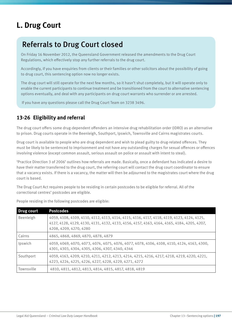# **L. Drug Court**

# Referrals to Drug Court closed

On Friday 16 November 2012, the Queensland Government released the amendments to the Drug Court Regulations, which effectively stop any further referrals to the drug court.

Accordingly, if you have enquiries from clients or their families or other solicitors about the possibility of going to drug court, this sentencing option now no longer exists.

The drug court will still operate for the next few months, so it hasn't shut completely, but it will operate only to enable the current participants to continue treatment and be transitioned from the court to alternative sentencing options eventually, and deal with any participants on drug court warrants who surrender or are arrested.

If you have any questions please call the Drug Court Team on 3238 3496.

# **13-26 Eligibility and referral**

The drug court offers some drug-dependent offenders an intensive drug rehabilitation order (IDRO) as an alternative to prison. Drug courts operate in the Beenleigh, Southport, Ipswich, Townsville and Cairns magistrates courts.

Drug court is available to people who are drug dependent and wish to plead guilty to drug-related offences. They must be likely to be sentenced to imprisonment and not have any outstanding charges for sexual offences or offences involving violence (except common assault, serious assault on police or assault with intent to steal).

'Practice Direction 3 of 2006' outlines how referrals are made. Basically, once a defendant has indicated a desire to have their matter transferred to the drug court, the referring court will contact the drug court coordinator to ensure that a vacancy exists. If there is a vacancy, the matter will then be adjourned to the magistrates court where the drug court is based.

The Drug Court Act requires people to be residing in certain postcodes to be eligible for referral. All of the correctional centres' postcodes are eligible.

| Drug court | <b>Postcodes</b>                                                                                                                                                                                                 |
|------------|------------------------------------------------------------------------------------------------------------------------------------------------------------------------------------------------------------------|
| Beenleigh  | 4059, 4108, 4109, 4110, 4112, 4113, 4114, 4115, 4116, 4117, 4118, 4119, 4123, 4124, 4125,<br>4127, 4128, 4129, 4130, 4131, 4132, 4133, 4156, 4157, 4163, 4164, 4165, 4184, 4205, 4207,<br>4208, 4209, 4270, 4280 |
| Cairns     | 4865, 4868, 4869, 4870, 4878, 4879                                                                                                                                                                               |
| Ipswich    | 4059, 4069, 4070, 4073, 4074, 4075, 4076, 4077, 4078, 4106, 4108, 4110, 4124, 4163, 4300,<br>4301, 4303, 4304, 4305, 4306, 4307, 4340, 4346                                                                      |
| Southport  | 4059, 4163, 4209, 4210, 4211, 4212, 4213, 4214, 4215, 4216, 4217, 4218, 4219, 4220, 4221,<br>4223, 4224, 4225, 4226, 4227, 4228, 4229, 4271, 4272                                                                |
| Townsville | 4810, 4811, 4812, 4813, 4814, 4815, 4817, 4818, 4819                                                                                                                                                             |

People residing in the following postcodes are eligible: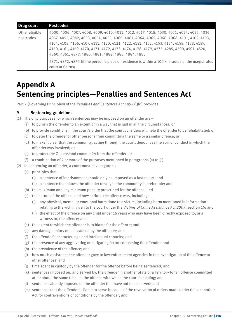| Drug court                  | <b>Postcodes</b>                                                                                                                                                                                                                                                                                                                                                                                                                         |
|-----------------------------|------------------------------------------------------------------------------------------------------------------------------------------------------------------------------------------------------------------------------------------------------------------------------------------------------------------------------------------------------------------------------------------------------------------------------------------|
| Other eligible<br>postcodes | 4000, 4006, 4007, 4008, 4009, 4010, 4011, 4012, 4017, 4018, 4030, 4031, 4034, 4035, 4036,<br>4037, 4051, 4052, 4053, 4054, 4055, 4060, 4061, 4064, 4065, 4066, 4068, 4101, 4102, 4103,<br>4104, 4105, 4106, 4107, 4111, 4120, 4121, 4122, 4151, 4152, 4153, 4154, 4155, 4158, 4159,<br>4160, 4161, 4169, 4170, 4171, 4172, 4173, 4174, 4178, 4179, 4275, 4285, 4500, 4501, 4520,<br>4860, 4861, 4877, 4880, 4881, 4882, 4883, 4884, 4885 |
|                             | 4871, 4872, 4873 (if the person's place of residence is within a 100 km radius of the magistrates<br>court at Cairns)                                                                                                                                                                                                                                                                                                                    |

# **Appendix A Sentencing principles—Penalties and Sentences Act**

Part 2 (Governing Principles) of the *Penalties and Sentences Act 1992* (Qld) provides:

### **9 Sentencing guidelines**

- (1) The only purposes for which sentences may be imposed on an offender are—
	- (a) to punish the offender to an extent or in a way that is just in all the circumstances; or
	- (b) to provide conditions in the court's order that the court considers will help the offender to be rehabilitated; or
	- (c) to deter the offender or other persons from committing the same or a similar offence; or
	- (d) to make it clear that the community, acting through the court, denounces the sort of conduct in which the offender was involved; or,
	- (e) to protect the Queensland community from the offender; or
	- (f) a combination of 2 or more of the purposes mentioned in paragraphs (a) to (e).
- (2) In sentencing an offender, a court must have regard to—
	- (a) principles that—
		- (i) a sentence of imprisonment should only be imposed as a last resort; and
		- (ii) a sentence that allows the offender to stay in the community is preferable; and
	- (b) the maximum and any minimum penalty prescribed for the offence; and
	- (c) the nature of the offence and how serious the offence was, including—
		- (i) any physical, mental or emotional harm done to a victim, including harm mentioned in information relating to the victim given to the court under the *Victims of Crime Assistance Act 2009*, section 15; and
		- (ii) the effect of the offence on any child under 16 years who may have been directly exposed to, or a witness to, the offence; and
	- (d) the extent to which the offender is to blame for the offence; and
	- (e) any damage, injury or loss caused by the offender; and
	- (f) the offender's character, age and intellectual capacity; and
	- (g) the presence of any aggravating or mitigating factor concerning the offender; and
	- (h) the prevalence of the offence; and
	- (i) how much assistance the offender gave to law enforcement agencies in the investigation of the offence or other offences; and
	- (j) time spent in custody by the offender for the offence before being sentenced; and
	- (k) sentences imposed on, and served by, the offender in another State or a Territory for an offence committed at, or about the same time, as the offence with which the court is dealing; and
	- (l) sentences already imposed on the offender that have not been served; and
	- (m) sentences that the offender is liable to serve because of the revocation of orders made under this or another Act for contraventions of conditions by the offender; and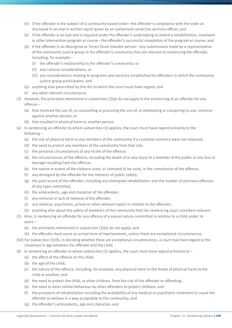- (n) if the offender is the subject of a community based order—the offender's compliance with the order as disclosed in an oral or written report given by an authorised corrective services officer; and
- (o) if the offender is on bail and is required under the offender's undertaking to attend a rehabilitation, treatment or other intervention program or course—the offender's successful completion of the program or course; and
- (p) if the offender is an Aboriginal or Torres Strait Islander person—any submissions made by a representative of the community justice group in the offender's community that are relevant to sentencing the offender, including, for example—
	- (i) the offender's relationship to the offender's community; or
	- (ii) any cultural considerations; or
	- (iii) any considerations relating to programs and services established for offenders in which the community justice group participates; and
- (q) anything else prescribed by this Act to which the court must have regard; and
- (r) any other relevant circumstance.
- (3) However, the principles mentioned in subsection (2)(a) do not apply to the sentencing of an offender for any offence—
	- (a) that involved the use of, or counselling or procuring the use of, or attempting or conspiring to use, violence against another person; or
	- (b) that resulted in physical harm to another person.
- (4) In sentencing an offender to whom subsection (3) applies, the court must have regard primarily to the following—
	- (a) the risk of physical harm to any members of the community if a custodial sentence were not imposed;
	- (b) the need to protect any members of the community from that risk;
	- (c) the personal circumstances of any victim of the offence;
	- (d) the circumstances of the offence, including the death of or any injury to a member of the public or any loss or damage resulting from the offence;
	- (e) the nature or extent of the violence used, or intended to be used, in the commission of the offence;
	- (f) any disregard by the offender for the interests of public safety;
	- (g) the past record of the offender, including any attempted rehabilitation and the number of previous offences of any type committed;
	- (h) the antecedents, age and character of the offender;
	- (i) any remorse or lack of remorse of the offender;
	- (j) any medical, psychiatric, prison or other relevant report in relation to the offender;
	- (k) anything else about the safety of members of the community that the sentencing court considers relevant.
- (5) Also, in sentencing an offender for any offence of a sexual nature committed in relation to a child under 16 years—
	- (a) the principles mentioned in subsection (2)(a) do not apply; and
	- (b) the offender must serve an actual term of imprisonment, unless there are exceptional circumstances.
- (5A) For subsection (5)(b), in deciding whether there are exceptional circumstances, a court may have regard to the closeness in age between the offender and the child.
- (6) In sentencing an offender to whom subsection (5) applies, the court must have regard primarily to—
	- (a) the effect of the offence on the child;
	- (b) the age of the child;
	- (c) the nature of the offence, including, for example, any physical harm or the threat of physical harm to the child or another; and
	- (d) the need to protect the child, or other children, from the risk of the offender re-offending;
	- (e) the need to deter similar behaviour by other offenders to protect children; and
	- (f) the prospects of rehabilitation including the availability of any medical or psychiatric treatment to cause the offender to behave in a way acceptable to the community; and
	- (g) the offender's antecedents, age and character; and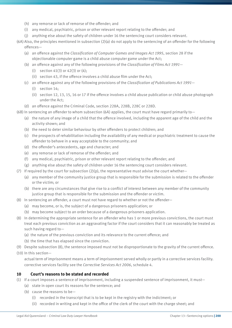- (h) any remorse or lack of remorse of the offender; and
- (i) any medical, psychiatric, prison or other relevant report relating to the offender; and
- (j) anything else about the safety of children under 16 the sentencing court considers relevant.
- (6A) Also, the principles mentioned in subsection (2)(a) do not apply to the sentencing of an offender for the following offences—
	- (a) an offence against the *Classification of Computer Games and Images Act 1995*, section 28 if the objectionable computer game is a child abuse computer game under the Act;
	- (b) an offence against any of the following provisions of the *Classification of Films Act 1991*
		- (i) section 41(3) or 42(3) or  $(4)$ :
		- (ii) section 43, if the offence involves a child abuse film under the Act;
	- (c) an offence against any of the following provisions of the *Classification of Publications Act 1991*
		- (i) section 14;
		- (ii) section 12, 13, 15, 16 or 17 if the offence involves a child abuse publication or child abuse photograph under the Act;
	- (d) an offence against the Criminal Code, section 228A, 228B, 228C or 228D.

(6B) In sentencing an offender to whom subsection (6A) applies, the court must have regard primarily to—

- (a) the nature of any image of a child that the offence involved, including the apparent age of the child and the activity shown; and
- (b) the need to deter similar behaviour by other offenders to protect children; and
- (c) the prospects of rehabilitation including the availability of any medical or psychiatric treatment to cause the offender to behave in a way acceptable to the community; and
- (d) the offender's antecedents, age and character; and
- (e) any remorse or lack of remorse of the offender; and
- (f) any medical, psychiatric, prison or other relevant report relating to the offender; and
- (g) anything else about the safety of children under 16 the sentencing court considers relevant.
- (7) If required by the court for subsection  $(2)(p)$ , the representative must advise the court whether-
	- (a) any member of the community justice group that is responsible for the submission is related to the offender or the victim; or
	- (b) there are any circumstances that give rise to a conflict of interest between any member of the community justice group that is responsible for the submission and the offender or victim.
- (8) In sentencing an offender, a court must not have regard to whether or not the offender—
	- (a) may become, or is, the subject of a dangerous prisoners application; or
	- (b) may become subject to an order because of a dangerous prisoners application.
- (8) In determining the appropriate sentence for an offender who has 1 or more previous convictions, the court must treat each previous conviction as an aggravating factor if the court considers that it can reasonably be treated as such having regard to—
	- (a) the nature of the previous conviction and its relevance to the current offence; and
	- (b) the time that has elapsed since the conviction.
- (9) Despite subsection (8), the sentence imposed must not be disproportionate to the gravity of the current offence.

(10) In this section—

actual term of imprisonment means a term of imprisonment served wholly or partly in a corrective services facility. corrective services facility see the *Corrective Services Act 2006*, schedule 4.

#### **10 Court's reasons to be stated and recorded**

- (1) If a court imposes a sentence of imprisonment, including a suspended sentence of imprisonment, it must—
	- (a) state in open court its reasons for the sentence; and
	- (b) cause the reasons to be—
		- (i) recorded in the transcript that is to be kept in the registry with the indictment; or
		- (ii) recorded in writing and kept in the office of the clerk of the court with the charge sheet; and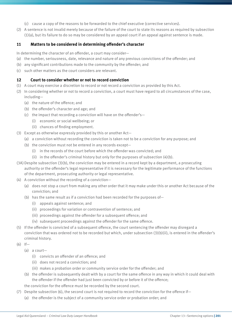- (c) cause a copy of the reasons to be forwarded to the chief executive (corrective services).
- (2) A sentence is not invalid merely because of the failure of the court to state its reasons as required by subsection (1)(a), but its failure to do so may be considered by an appeal court if an appeal against sentence is made.

#### **11 Matters to be considered in determining offender's character**

In determining the character of an offender, a court may consider—

- (a) the number, seriousness, date, relevance and nature of any previous convictions of the offender; and
- (b) any significant contributions made to the community by the offender; and
- (c) such other matters as the court considers are relevant.

#### **12 Court to consider whether or not to record conviction**

- (1) A court may exercise a discretion to record or not record a conviction as provided by this Act.
- (2) In considering whether or not to record a conviction, a court must have regard to all circumstances of the case, including—
	- (a) the nature of the offence; and
	- (b) the offender's character and age; and
	- (c) the impact that recording a conviction will have on the offender's—
		- (i) economic or social wellbeing; or
		- (ii) chances of finding employment.
- (3) Except as otherwise expressly provided by this or another Act—
	- (a) a conviction without recording the conviction is taken not to be a conviction for any purpose; and
	- (b) the conviction must not be entered in any records except—
		- (i) in the records of the court before which the offender was convicted; and
		- (ii) in the offender's criminal history but only for the purposes of subsection  $(4)(b)$ .
- (3A)Despite subsection (3)(b), the conviction may be entered in a record kept by a department, a prosecuting authority or the offender's legal representative if it is necessary for the legitimate performance of the functions of the department, prosecuting authority or legal representative.
- (4) A conviction without the recording of a conviction—
	- (a) does not stop a court from making any other order that it may make under this or another Act because of the conviction; and
	- (b) has the same result as if a conviction had been recorded for the purposes of—
		- (i) appeals against sentence; and
		- (ii) proceedings for variation or contravention of sentence; and
		- (iii) proceedings against the offender for a subsequent offence; and
		- (iv) subsequent proceedings against the offender for the same offence.
- (5) If the offender is convicted of a subsequent offence, the court sentencing the offender may disregard a conviction that was ordered not to be recorded but which, under subsection (3)(b)(ii), is entered in the offender's criminal history.
- $(6)$  If-
	- (a) a court—
		- (i) convicts an offender of an offence; and
		- (ii) does not record a conviction; and
		- (iii) makes a probation order or community service order for the offender; and
	- (b) the offender is subsequently dealt with by a court for the same offence in any way in which it could deal with the offender if the offender had just been convicted by or before it of the offence;
	- the conviction for the offence must be recorded by the second court.
- (7) Despite subsection (6), the second court is not required to record the conviction for the offence if—
	- (a) the offender is the subject of a community service order or probation order; and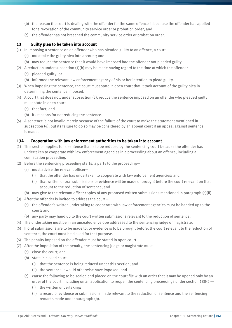- (b) the reason the court is dealing with the offender for the same offence is because the offender has applied for a revocation of the community service order or probation order; and
- (c) the offender has not breached the community service order or probation order.

#### **13 Guilty plea to be taken into account**

- (1) In imposing a sentence on an offender who has pleaded guilty to an offence, a court—
	- (a) must take the guilty plea into account; and
	- (b) may reduce the sentence that it would have imposed had the offender not pleaded guilty.
- (2) A reduction under subsection  $(1)(b)$  may be made having regard to the time at which the offender—
	- (a) pleaded guilty; or
	- (b) informed the relevant law enforcement agency of his or her intention to plead guilty.
- (3) When imposing the sentence, the court must state in open court that it took account of the guilty plea in determining the sentence imposed.
- (4) A court that does not, under subsection (2), reduce the sentence imposed on an offender who pleaded guilty must state in open court—
	- (a) that fact; and
	- (b) its reasons for not reducing the sentence.
- (5) A sentence is not invalid merely because of the failure of the court to make the statement mentioned in subsection (4), but its failure to do so may be considered by an appeal court if an appeal against sentence is made.

### **13A Cooperation with law enforcement authorities to be taken into account**

- (1) This section applies for a sentence that is to be reduced by the sentencing court because the offender has undertaken to cooperate with law enforcement agencies in a proceeding about an offence, including a confiscation proceeding.
- (2) Before the sentencing proceeding starts, a party to the proceeding—
	- (a) must advise the relevant officer—
		- (i) that the offender has undertaken to cooperate with law enforcement agencies; and
		- (ii) that written or oral submissions or evidence will be made or brought before the court relevant on that account to the reduction of sentence; and
	- (b) may give to the relevant officer copies of any proposed written submissions mentioned in paragraph (a)(ii).
- (3) After the offender is invited to address the court—
	- (a) the offender's written undertaking to cooperate with law enforcement agencies must be handed up to the court; and
	- (b) any party may hand up to the court written submissions relevant to the reduction of sentence.
- (4) The undertaking must be in an unsealed envelope addressed to the sentencing judge or magistrate.
- (5) If oral submissions are to be made to, or evidence is to be brought before, the court relevant to the reduction of sentence, the court must be closed for that purpose.
- (6) The penalty imposed on the offender must be stated in open court.
- (7) After the imposition of the penalty, the sentencing judge or magistrate must—
	- (a) close the court; and
	- (b) state in closed court—
		- (i) that the sentence is being reduced under this section; and
		- (ii) the sentence it would otherwise have imposed; and
	- (c) cause the following to be sealed and placed on the court file with an order that it may be opened only by an order of the court, including on an application to reopen the sentencing proceedings under section 188(2)—
		- (i) the written undertaking;
		- (ii) a record of evidence or submissions made relevant to the reduction of sentence and the sentencing remarks made under paragraph (b).